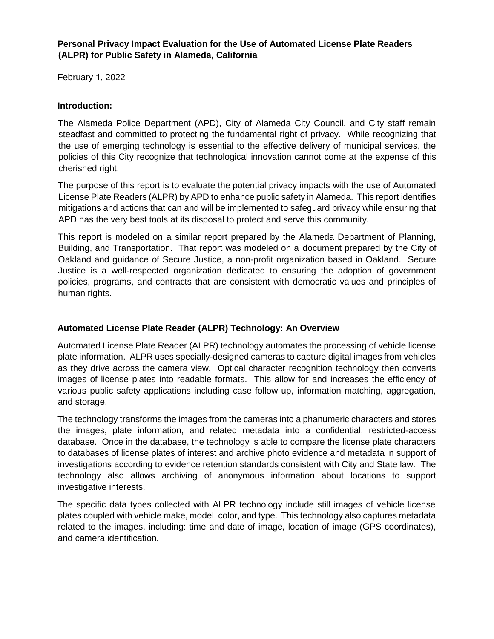### **Personal Privacy Impact Evaluation for the Use of Automated License Plate Readers (ALPR) for Public Safety in Alameda, California**

February 1, 2022

### **Introduction:**

The Alameda Police Department (APD), City of Alameda City Council, and City staff remain steadfast and committed to protecting the fundamental right of privacy. While recognizing that the use of emerging technology is essential to the effective delivery of municipal services, the policies of this City recognize that technological innovation cannot come at the expense of this cherished right.

The purpose of this report is to evaluate the potential privacy impacts with the use of Automated License Plate Readers (ALPR) by APD to enhance public safety in Alameda. This report identifies mitigations and actions that can and will be implemented to safeguard privacy while ensuring that APD has the very best tools at its disposal to protect and serve this community.

This report is modeled on a similar report prepared by the Alameda Department of Planning, Building, and Transportation. That report was modeled on a document prepared by the City of Oakland and guidance of Secure Justice, a non-profit organization based in Oakland. Secure Justice is a well-respected organization dedicated to ensuring the adoption of government policies, programs, and contracts that are consistent with democratic values and principles of human rights.

# **Automated License Plate Reader (ALPR) Technology: An Overview**

Automated License Plate Reader (ALPR) technology automates the processing of vehicle license plate information. ALPR uses specially-designed cameras to capture digital images from vehicles as they drive across the camera view. Optical character recognition technology then converts images of license plates into readable formats. This allow for and increases the efficiency of various public safety applications including case follow up, information matching, aggregation, and storage.

The technology transforms the images from the cameras into alphanumeric characters and stores the images, plate information, and related metadata into a confidential, restricted-access database. Once in the database, the technology is able to compare the license plate characters to databases of license plates of interest and archive photo evidence and metadata in support of investigations according to evidence retention standards consistent with City and State law. The technology also allows archiving of anonymous information about locations to support investigative interests.

The specific data types collected with ALPR technology include still images of vehicle license plates coupled with vehicle make, model, color, and type. This technology also captures metadata related to the images, including: time and date of image, location of image (GPS coordinates), and camera identification.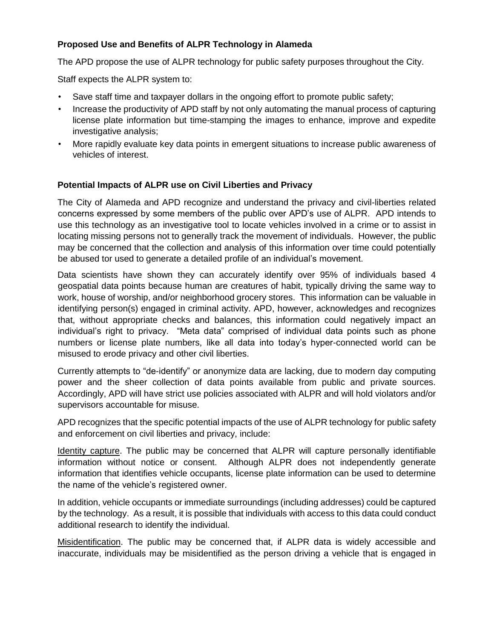# **Proposed Use and Benefits of ALPR Technology in Alameda**

The APD propose the use of ALPR technology for public safety purposes throughout the City.

Staff expects the ALPR system to:

- Save staff time and taxpayer dollars in the ongoing effort to promote public safety;
- Increase the productivity of APD staff by not only automating the manual process of capturing license plate information but time-stamping the images to enhance, improve and expedite investigative analysis;
- More rapidly evaluate key data points in emergent situations to increase public awareness of vehicles of interest.

#### **Potential Impacts of ALPR use on Civil Liberties and Privacy**

The City of Alameda and APD recognize and understand the privacy and civil-liberties related concerns expressed by some members of the public over APD's use of ALPR. APD intends to use this technology as an investigative tool to locate vehicles involved in a crime or to assist in locating missing persons not to generally track the movement of individuals. However, the public may be concerned that the collection and analysis of this information over time could potentially be abused tor used to generate a detailed profile of an individual's movement.

Data scientists have shown they can accurately identify over 95% of individuals based 4 geospatial data points because human are creatures of habit, typically driving the same way to work, house of worship, and/or neighborhood grocery stores. This information can be valuable in identifying person(s) engaged in criminal activity. APD, however, acknowledges and recognizes that, without appropriate checks and balances, this information could negatively impact an individual's right to privacy. "Meta data" comprised of individual data points such as phone numbers or license plate numbers, like all data into today's hyper-connected world can be misused to erode privacy and other civil liberties.

Currently attempts to "de-identify" or anonymize data are lacking, due to modern day computing power and the sheer collection of data points available from public and private sources. Accordingly, APD will have strict use policies associated with ALPR and will hold violators and/or supervisors accountable for misuse.

APD recognizes that the specific potential impacts of the use of ALPR technology for public safety and enforcement on civil liberties and privacy, include:

Identity capture. The public may be concerned that ALPR will capture personally identifiable information without notice or consent. Although ALPR does not independently generate information that identifies vehicle occupants, license plate information can be used to determine the name of the vehicle's registered owner.

In addition, vehicle occupants or immediate surroundings (including addresses) could be captured by the technology. As a result, it is possible that individuals with access to this data could conduct additional research to identify the individual.

Misidentification. The public may be concerned that, if ALPR data is widely accessible and inaccurate, individuals may be misidentified as the person driving a vehicle that is engaged in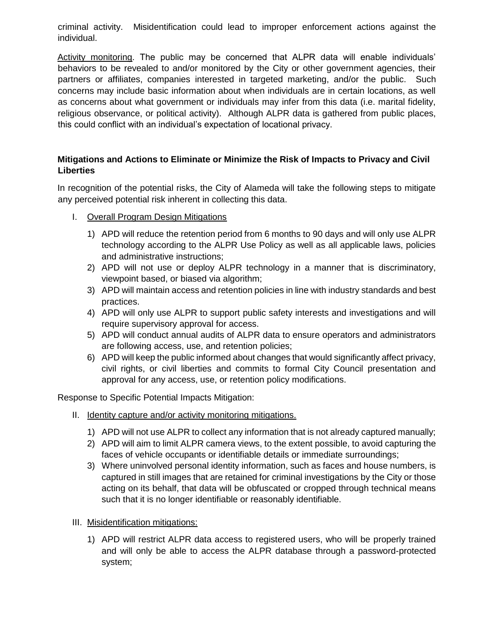criminal activity. Misidentification could lead to improper enforcement actions against the individual.

Activity monitoring. The public may be concerned that ALPR data will enable individuals' behaviors to be revealed to and/or monitored by the City or other government agencies, their partners or affiliates, companies interested in targeted marketing, and/or the public. Such concerns may include basic information about when individuals are in certain locations, as well as concerns about what government or individuals may infer from this data (i.e. marital fidelity, religious observance, or political activity). Although ALPR data is gathered from public places, this could conflict with an individual's expectation of locational privacy.

### **Mitigations and Actions to Eliminate or Minimize the Risk of Impacts to Privacy and Civil Liberties**

In recognition of the potential risks, the City of Alameda will take the following steps to mitigate any perceived potential risk inherent in collecting this data.

- I. Overall Program Design Mitigations
	- 1) APD will reduce the retention period from 6 months to 90 days and will only use ALPR technology according to the ALPR Use Policy as well as all applicable laws, policies and administrative instructions;
	- 2) APD will not use or deploy ALPR technology in a manner that is discriminatory, viewpoint based, or biased via algorithm;
	- 3) APD will maintain access and retention policies in line with industry standards and best practices.
	- 4) APD will only use ALPR to support public safety interests and investigations and will require supervisory approval for access.
	- 5) APD will conduct annual audits of ALPR data to ensure operators and administrators are following access, use, and retention policies;
	- 6) APD will keep the public informed about changes that would significantly affect privacy, civil rights, or civil liberties and commits to formal City Council presentation and approval for any access, use, or retention policy modifications.

Response to Specific Potential Impacts Mitigation:

- II. Identity capture and/or activity monitoring mitigations.
	- 1) APD will not use ALPR to collect any information that is not already captured manually;
	- 2) APD will aim to limit ALPR camera views, to the extent possible, to avoid capturing the faces of vehicle occupants or identifiable details or immediate surroundings;
	- 3) Where uninvolved personal identity information, such as faces and house numbers, is captured in still images that are retained for criminal investigations by the City or those acting on its behalf, that data will be obfuscated or cropped through technical means such that it is no longer identifiable or reasonably identifiable.
- III. Misidentification mitigations:
	- 1) APD will restrict ALPR data access to registered users, who will be properly trained and will only be able to access the ALPR database through a password-protected system;